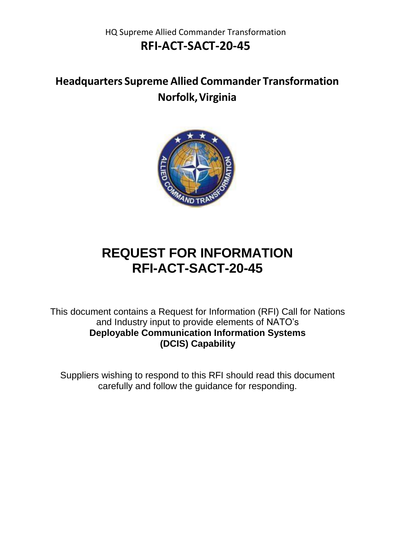HQ Supreme Allied Commander Transformation **RFI-ACT-SACT-20-45**

**Headquarters Supreme Allied Commander Transformation Norfolk,Virginia**



# **REQUEST FOR INFORMATION RFI-ACT-SACT-20-45**

This document contains a Request for Information (RFI) Call for Nations and Industry input to provide elements of NATO's **Deployable Communication Information Systems (DCIS) Capability**

Suppliers wishing to respond to this RFI should read this document carefully and follow the guidance for responding.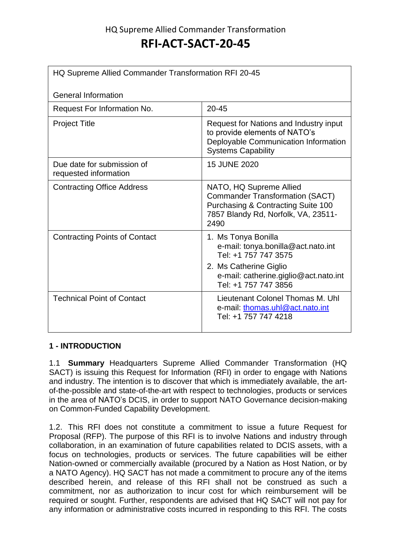### HQ Supreme Allied Commander Transformation **RFI-ACT-SACT-20-45**

| HQ Supreme Allied Commander Transformation RFI 20-45 |                                                                                                                                                                              |
|------------------------------------------------------|------------------------------------------------------------------------------------------------------------------------------------------------------------------------------|
| <b>General Information</b>                           |                                                                                                                                                                              |
| Request For Information No.                          | $20 - 45$                                                                                                                                                                    |
| <b>Project Title</b>                                 | Request for Nations and Industry input<br>to provide elements of NATO's<br>Deployable Communication Information<br><b>Systems Capability</b>                                 |
| Due date for submission of<br>requested information  | 15 JUNE 2020                                                                                                                                                                 |
| <b>Contracting Office Address</b>                    | NATO, HQ Supreme Allied<br><b>Commander Transformation (SACT)</b><br>Purchasing & Contracting Suite 100<br>7857 Blandy Rd, Norfolk, VA, 23511-<br>2490                       |
| <b>Contracting Points of Contact</b>                 | 1. Ms Tonya Bonilla<br>e-mail: tonya.bonilla@act.nato.int<br>Tel: +1 757 747 3575<br>2. Ms Catherine Giglio<br>e-mail: catherine.giglio@act.nato.int<br>Tel: +1 757 747 3856 |
| <b>Technical Point of Contact</b>                    | Lieutenant Colonel Thomas M. Uhl<br>e-mail: thomas.uhl@act.nato.int<br>Tel: +1 757 747 4218                                                                                  |

#### **1 - INTRODUCTION**

1.1 **Summary** Headquarters Supreme Allied Commander Transformation (HQ SACT) is issuing this Request for Information (RFI) in order to engage with Nations and industry. The intention is to discover that which is immediately available, the artof-the-possible and state-of-the-art with respect to technologies, products or services in the area of NATO's DCIS, in order to support NATO Governance decision-making on Common-Funded Capability Development.

1.2. This RFI does not constitute a commitment to issue a future Request for Proposal (RFP). The purpose of this RFI is to involve Nations and industry through collaboration, in an examination of future capabilities related to DCIS assets, with a focus on technologies, products or services. The future capabilities will be either Nation-owned or commercially available (procured by a Nation as Host Nation, or by a NATO Agency). HQ SACT has not made a commitment to procure any of the items described herein, and release of this RFI shall not be construed as such a commitment, nor as authorization to incur cost for which reimbursement will be required or sought. Further, respondents are advised that HQ SACT will not pay for any information or administrative costs incurred in responding to this RFI. The costs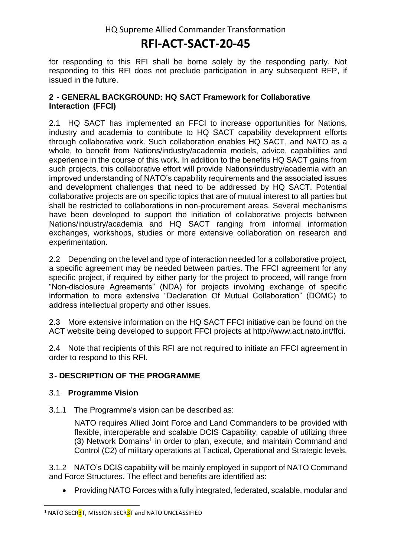for responding to this RFI shall be borne solely by the responding party. Not responding to this RFI does not preclude participation in any subsequent RFP, if issued in the future.

#### **2 - GENERAL BACKGROUND: HQ SACT Framework for Collaborative Interaction (FFCI)**

2.1 HQ SACT has implemented an FFCI to increase opportunities for Nations, industry and academia to contribute to HQ SACT capability development efforts through collaborative work. Such collaboration enables HQ SACT, and NATO as a whole, to benefit from Nations/industry/academia models, advice, capabilities and experience in the course of this work. In addition to the benefits HQ SACT gains from such projects, this collaborative effort will provide Nations/industry/academia with an improved understanding of NATO's capability requirements and the associated issues and development challenges that need to be addressed by HQ SACT. Potential collaborative projects are on specific topics that are of mutual interest to all parties but shall be restricted to collaborations in non-procurement areas. Several mechanisms have been developed to support the initiation of collaborative projects between Nations/industry/academia and HQ SACT ranging from informal information exchanges, workshops, studies or more extensive collaboration on research and experimentation.

2.2 Depending on the level and type of interaction needed for a collaborative project, a specific agreement may be needed between parties. The FFCI agreement for any specific project, if required by either party for the project to proceed, will range from "Non-disclosure Agreements" (NDA) for projects involving exchange of specific information to more extensive "Declaration Of Mutual Collaboration" (DOMC) to address intellectual property and other issues.

2.3 More extensive information on the HQ SACT FFCI initiative can be found on the ACT website being developed to support FFCI projects at [http://www.act.nato.int/ffci.](http://www.act.nato.int/ffci)

2.4 Note that recipients of this RFI are not required to initiate an FFCI agreement in order to respond to this RFI.

#### **3- DESCRIPTION OF THE PROGRAMME**

#### 3.1 **Programme Vision**

3.1.1 The Programme's vision can be described as:

NATO requires Allied Joint Force and Land Commanders to be provided with flexible, interoperable and scalable DCIS Capability, capable of utilizing three (3) Network Domains<sup>1</sup> in order to plan, execute, and maintain Command and Control (C2) of military operations at Tactical, Operational and Strategic levels.

3.1.2 NATO's DCIS capability will be mainly employed in support of NATO Command and Force Structures. The effect and benefits are identified as:

• Providing NATO Forces with a fully integrated, federated, scalable, modular and

 $\overline{a}$ <sup>1</sup> NATO SECR3T, MISSION SECR3T and NATO UNCLASSIFIED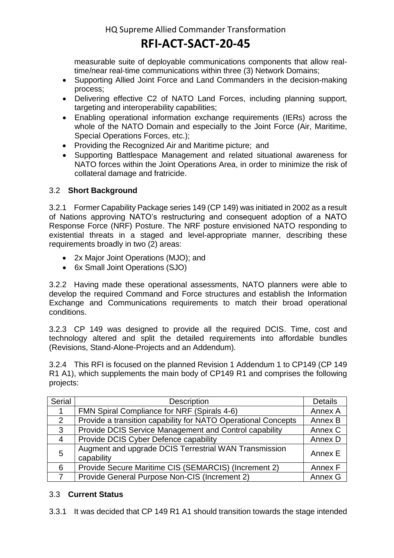measurable suite of deployable communications components that allow realtime/near real-time communications within three (3) Network Domains;

- Supporting Allied Joint Force and Land Commanders in the decision-making process;
- Delivering effective C2 of NATO Land Forces, including planning support, targeting and interoperability capabilities;
- Enabling operational information exchange requirements (IERs) across the whole of the NATO Domain and especially to the Joint Force (Air, Maritime, Special Operations Forces, etc.);
- Providing the Recognized Air and Maritime picture; and
- Supporting Battlespace Management and related situational awareness for NATO forces within the Joint Operations Area, in order to minimize the risk of collateral damage and fratricide.

#### 3.2 **Short Background**

3.2.1 Former Capability Package series 149 (CP 149) was initiated in 2002 as a result of Nations approving NATO's restructuring and consequent adoption of a NATO Response Force (NRF) Posture. The NRF posture envisioned NATO responding to existential threats in a staged and level-appropriate manner, describing these requirements broadly in two (2) areas:

- 2x Major Joint Operations (MJO); and
- 6x Small Joint Operations (SJO)

3.2.2 Having made these operational assessments, NATO planners were able to develop the required Command and Force structures and establish the Information Exchange and Communications requirements to match their broad operational conditions.

3.2.3 CP 149 was designed to provide all the required DCIS. Time, cost and technology altered and split the detailed requirements into affordable bundles (Revisions, Stand-Alone-Projects and an Addendum).

3.2.4 This RFI is focused on the planned Revision 1 Addendum 1 to CP149 (CP 149 R1 A1), which supplements the main body of CP149 R1 and comprises the following projects:

| <b>Serial</b> | Description                                                                    | <b>Details</b> |
|---------------|--------------------------------------------------------------------------------|----------------|
|               | FMN Spiral Compliance for NRF (Spirals 4-6)                                    | Annex A        |
| 2             | Provide a transition capability for NATO Operational Concepts                  | Annex B        |
| 3             | Provide DCIS Service Management and Control capability                         | Annex C        |
| 4             | Provide DCIS Cyber Defence capability                                          | Annex D        |
| 5             | Augment and upgrade DCIS Terrestrial WAN Transmission<br>Annex E<br>capability |                |
| 6             | Provide Secure Maritime CIS (SEMARCIS) (Increment 2)                           | Annex F        |
|               | Provide General Purpose Non-CIS (Increment 2)                                  | Annex G        |

#### 3.3 **Current Status**

3.3.1 It was decided that CP 149 R1 A1 should transition towards the stage intended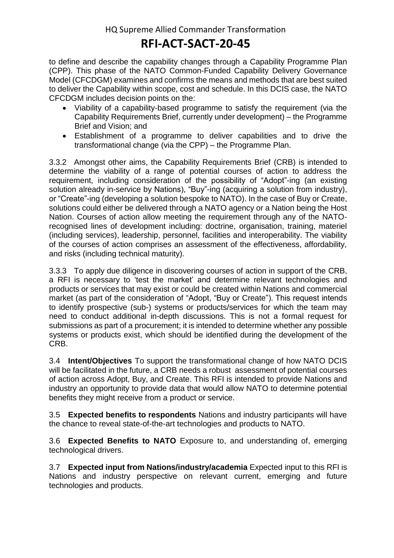to define and describe the capability changes through a Capability Programme Plan (CPP). This phase of the NATO Common-Funded Capability Delivery Governance Model (CFCDGM) examines and confirms the means and methods that are best suited to deliver the Capability within scope, cost and schedule. In this DCIS case, the NATO CFCDGM includes decision points on the:

- Viability of a capability-based programme to satisfy the requirement (via the Capability Requirements Brief, currently under development) – the Programme Brief and Vision; and
- Establishment of a programme to deliver capabilities and to drive the transformational change (via the CPP) – the Programme Plan.

3.3.2 Amongst other aims, the Capability Requirements Brief (CRB) is intended to determine the viability of a range of potential courses of action to address the requirement, including consideration of the possibility of "Adopt"-ing (an existing solution already in-service by Nations), "Buy"-ing (acquiring a solution from industry), or "Create"-ing (developing a solution bespoke to NATO). In the case of Buy or Create, solutions could either be delivered through a NATO agency or a Nation being the Host Nation. Courses of action allow meeting the requirement through any of the NATOrecognised lines of development including: doctrine, organisation, training, materiel (including services), leadership, personnel, facilities and interoperability. The viability of the courses of action comprises an assessment of the effectiveness, affordability, and risks (including technical maturity).

3.3.3 To apply due diligence in discovering courses of action in support of the CRB, a RFI is necessary to 'test the market' and determine relevant technologies and products or services that may exist or could be created within Nations and commercial market (as part of the consideration of "Adopt, "Buy or Create"). This request intends to identify prospective (sub-) systems or products/services for which the team may need to conduct additional in-depth discussions. This is not a formal request for submissions as part of a procurement; it is intended to determine whether any possible systems or products exist, which should be identified during the development of the CRB.

3.4 **Intent/Objectives** To support the transformational change of how NATO DCIS will be facilitated in the future, a CRB needs a robust assessment of potential courses of action across Adopt, Buy, and Create. This RFI is intended to provide Nations and industry an opportunity to provide data that would allow NATO to determine potential benefits they might receive from a product or service.

3.5 **Expected benefits to respondents** Nations and industry participants will have the chance to reveal state-of-the-art technologies and products to NATO.

3.6 **Expected Benefits to NATO** Exposure to, and understanding of, emerging technological drivers.

3.7 **Expected input from Nations/industry/academia** Expected input to this RFI is Nations and industry perspective on relevant current, emerging and future technologies and products.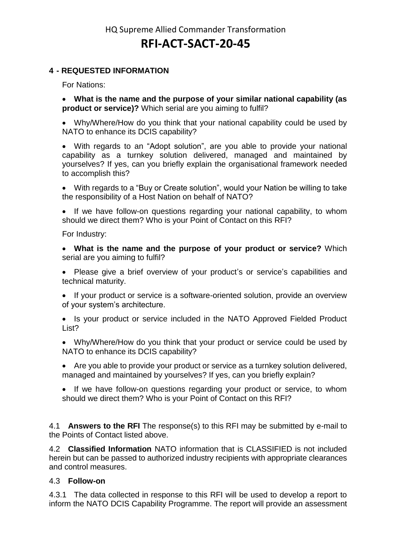#### **4 - REQUESTED INFORMATION**

For Nations:

 **What is the name and the purpose of your similar national capability (as product or service)?** Which serial are you aiming to fulfil?

 Why/Where/How do you think that your national capability could be used by NATO to enhance its DCIS capability?

 With regards to an "Adopt solution", are you able to provide your national capability as a turnkey solution delivered, managed and maintained by yourselves? If yes, can you briefly explain the organisational framework needed to accomplish this?

 With regards to a "Buy or Create solution", would your Nation be willing to take the responsibility of a Host Nation on behalf of NATO?

 If we have follow-on questions regarding your national capability, to whom should we direct them? Who is your Point of Contact on this RFI?

For Industry:

 **What is the name and the purpose of your product or service?** Which serial are you aiming to fulfil?

 Please give a brief overview of your product's or service's capabilities and technical maturity.

 If your product or service is a software-oriented solution, provide an overview of your system's architecture.

• Is your product or service included in the NATO Approved Fielded Product List?

 Why/Where/How do you think that your product or service could be used by NATO to enhance its DCIS capability?

 Are you able to provide your product or service as a turnkey solution delivered, managed and maintained by yourselves? If yes, can you briefly explain?

• If we have follow-on questions regarding your product or service, to whom should we direct them? Who is your Point of Contact on this RFI?

4.1 **Answers to the RFI** The response(s) to this RFI may be submitted by e-mail to the Points of Contact listed above.

4.2 **Classified Information** NATO information that is CLASSIFIED is not included herein but can be passed to authorized industry recipients with appropriate clearances and control measures.

#### 4.3 **Follow-on**

4.3.1 The data collected in response to this RFI will be used to develop a report to inform the NATO DCIS Capability Programme. The report will provide an assessment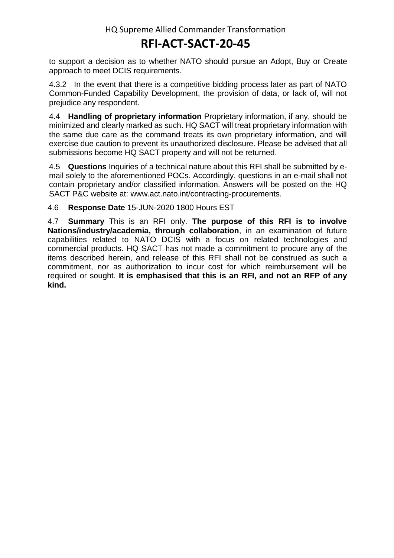to support a decision as to whether NATO should pursue an Adopt, Buy or Create approach to meet DCIS requirements.

4.3.2 In the event that there is a competitive bidding process later as part of NATO Common-Funded Capability Development, the provision of data, or lack of, will not prejudice any respondent.

4.4 **Handling of proprietary information** Proprietary information, if any, should be minimized and clearly marked as such. HQ SACT will treat proprietary information with the same due care as the command treats its own proprietary information, and will exercise due caution to prevent its unauthorized disclosure. Please be advised that all submissions become HQ SACT property and will not be returned.

4.5 **Questions** Inquiries of a technical nature about this RFI shall be submitted by email solely to the aforementioned POCs. Accordingly, questions in an e-mail shall not contain proprietary and/or classified information. Answers will be posted on the HQ SACT P&C website at: [www.act.nato.int/contracting-procurements.](http://www.act.nato.int/contracting-procurements)

#### 4.6 **Response Date** 15-JUN-2020 1800 Hours EST

4.7 **Summary** This is an RFI only. **The purpose of this RFI is to involve Nations/industry/academia, through collaboration**, in an examination of future capabilities related to NATO DCIS with a focus on related technologies and commercial products. HQ SACT has not made a commitment to procure any of the items described herein, and release of this RFI shall not be construed as such a commitment, nor as authorization to incur cost for which reimbursement will be required or sought. **It is emphasised that this is an RFI, and not an RFP of any kind.**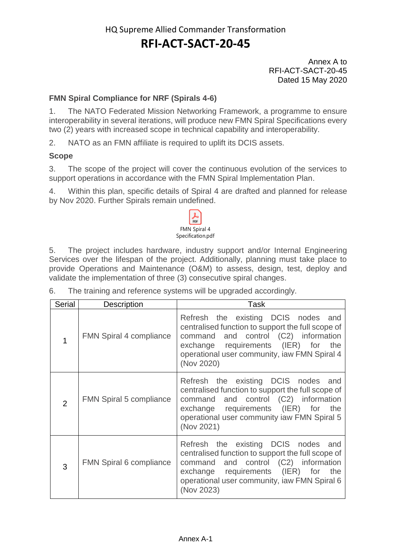Annex A to RFI-ACT-SACT-20-45 Dated 15 May 2020

#### **FMN Spiral Compliance for NRF (Spirals 4-6)**

1. The NATO Federated Mission Networking Framework, a programme to ensure interoperability in several iterations, will produce new FMN Spiral Specifications every two (2) years with increased scope in technical capability and interoperability.

2. NATO as an FMN affiliate is required to uplift its DCIS assets.

#### **Scope**

3. The scope of the project will cover the continuous evolution of the services to support operations in accordance with the FMN Spiral Implementation Plan.

4. Within this plan, specific details of Spiral 4 are drafted and planned for release by Nov 2020. Further Spirals remain undefined.

| Specification.pdf | <b>FMN Spiral 4</b> |  |
|-------------------|---------------------|--|

5. The project includes hardware, industry support and/or Internal Engineering Services over the lifespan of the project. Additionally, planning must take place to provide Operations and Maintenance (O&M) to assess, design, test, deploy and validate the implementation of three (3) consecutive spiral changes.

| Serial | Description                    | Task                                                                                                                                                                                                                                        |
|--------|--------------------------------|---------------------------------------------------------------------------------------------------------------------------------------------------------------------------------------------------------------------------------------------|
|        | <b>FMN Spiral 4 compliance</b> | Refresh the existing DCIS nodes and<br>centralised function to support the full scope of<br>command and control (C2) information<br>exchange requirements (IER) for the<br>operational user community, iaw FMN Spiral 4<br>(Nov 2020)       |
| 2      | <b>FMN Spiral 5 compliance</b> | Refresh the existing DCIS nodes and<br>centralised function to support the full scope of<br>command and control (C2) information<br>exchange requirements (IER) for the<br>operational user community iaw FMN Spiral 5<br>(Nov 2021)        |
| 3      | <b>FMN Spiral 6 compliance</b> | Refresh the existing DCIS nodes<br>and<br>centralised function to support the full scope of<br>command and control (C2) information<br>exchange requirements (IER) for<br>the<br>operational user community, iaw FMN Spiral 6<br>(Nov 2023) |

6. The training and reference systems will be upgraded accordingly.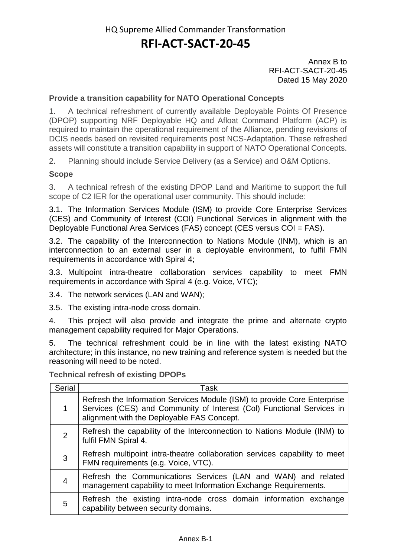Annex B to RFI-ACT-SACT-20-45 Dated 15 May 2020

#### **Provide a transition capability for NATO Operational Concepts**

1. A technical refreshment of currently available Deployable Points Of Presence (DPOP) supporting NRF Deployable HQ and Afloat Command Platform (ACP) is required to maintain the operational requirement of the Alliance, pending revisions of DCIS needs based on revisited requirements post NCS-Adaptation. These refreshed assets will constitute a transition capability in support of NATO Operational Concepts.

2. Planning should include Service Delivery (as a Service) and O&M Options.

#### **Scope**

3. A technical refresh of the existing DPOP Land and Maritime to support the full scope of C2 IER for the operational user community. This should include:

3.1. The Information Services Module (ISM) to provide Core Enterprise Services (CES) and Community of Interest (COI) Functional Services in alignment with the Deployable Functional Area Services (FAS) concept (CES versus COI = FAS).

3.2. The capability of the Interconnection to Nations Module (INM), which is an interconnection to an external user in a deployable environment, to fulfil FMN requirements in accordance with Spiral 4;

3.3. Multipoint intra-theatre collaboration services capability to meet FMN requirements in accordance with Spiral 4 (e.g. Voice, VTC);

3.4. The network services (LAN and WAN);

3.5. The existing intra-node cross domain.

4. This project will also provide and integrate the prime and alternate crypto management capability required for Major Operations.

5. The technical refreshment could be in line with the latest existing NATO architecture; in this instance, no new training and reference system is needed but the reasoning will need to be noted.

**Technical refresh of existing DPOPs**

| <b>Serial</b>  | Task                                                                                                                                                                                            |
|----------------|-------------------------------------------------------------------------------------------------------------------------------------------------------------------------------------------------|
| 1              | Refresh the Information Services Module (ISM) to provide Core Enterprise<br>Services (CES) and Community of Interest (Col) Functional Services in<br>alignment with the Deployable FAS Concept. |
| $\overline{2}$ | Refresh the capability of the Interconnection to Nations Module (INM) to<br>fulfil FMN Spiral 4.                                                                                                |
| 3              | Refresh multipoint intra-theatre collaboration services capability to meet<br>FMN requirements (e.g. Voice, VTC).                                                                               |
| 4              | Refresh the Communications Services (LAN and WAN) and related<br>management capability to meet Information Exchange Requirements.                                                               |
| 5              | Refresh the existing intra-node cross domain information exchange<br>capability between security domains.                                                                                       |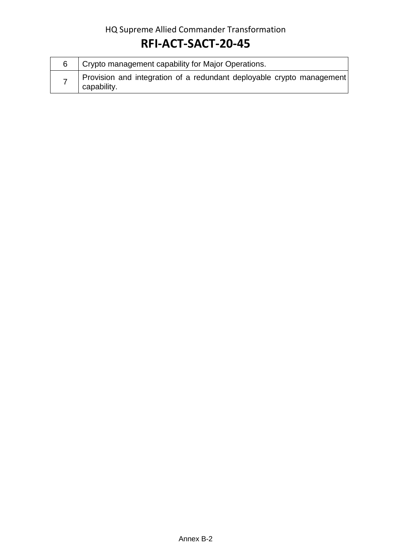### HQ Supreme Allied Commander Transformation

## **RFI-ACT-SACT-20-45**

| Crypto management capability for Major Operations.                                   |
|--------------------------------------------------------------------------------------|
| Provision and integration of a redundant deployable crypto management<br>capability. |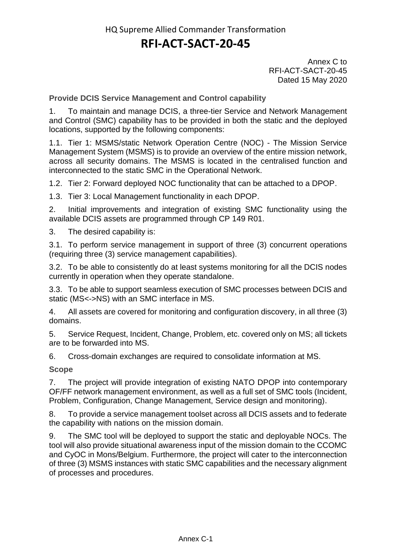Annex C to RFI-ACT-SACT-20-45 Dated 15 May 2020

**Provide DCIS Service Management and Control capability**

1. To maintain and manage DCIS, a three-tier Service and Network Management and Control (SMC) capability has to be provided in both the static and the deployed locations, supported by the following components:

1.1. Tier 1: MSMS/static Network Operation Centre (NOC) - The Mission Service Management System (MSMS) is to provide an overview of the entire mission network, across all security domains. The MSMS is located in the centralised function and interconnected to the static SMC in the Operational Network.

1.2. Tier 2: Forward deployed NOC functionality that can be attached to a DPOP.

1.3. Tier 3: Local Management functionality in each DPOP.

2. Initial improvements and integration of existing SMC functionality using the available DCIS assets are programmed through CP 149 R01.

3. The desired capability is:

3.1. To perform service management in support of three (3) concurrent operations (requiring three (3) service management capabilities).

3.2. To be able to consistently do at least systems monitoring for all the DCIS nodes currently in operation when they operate standalone.

3.3. To be able to support seamless execution of SMC processes between DCIS and static (MS<->NS) with an SMC interface in MS.

4. All assets are covered for monitoring and configuration discovery, in all three (3) domains.

5. Service Request, Incident, Change, Problem, etc. covered only on MS; all tickets are to be forwarded into MS.

6. Cross-domain exchanges are required to consolidate information at MS.

**Scope**

7. The project will provide integration of existing NATO DPOP into contemporary OF/FF network management environment, as well as a full set of SMC tools (Incident, Problem, Configuration, Change Management, Service design and monitoring).

8. To provide a service management toolset across all DCIS assets and to federate the capability with nations on the mission domain.

9. The SMC tool will be deployed to support the static and deployable NOCs. The tool will also provide situational awareness input of the mission domain to the CCOMC and CyOC in Mons/Belgium. Furthermore, the project will cater to the interconnection of three (3) MSMS instances with static SMC capabilities and the necessary alignment of processes and procedures.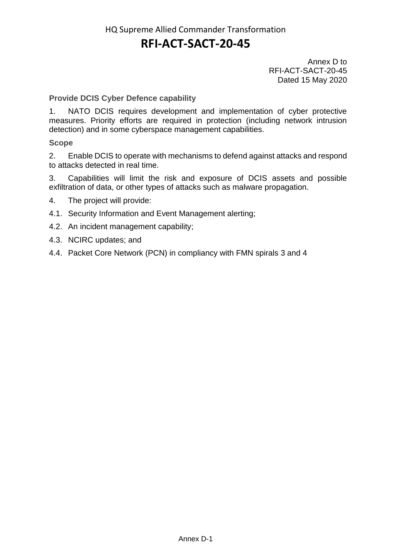Annex D to RFI-ACT-SACT-20-45 Dated 15 May 2020

**Provide DCIS Cyber Defence capability**

1. NATO DCIS requires development and implementation of cyber protective measures. Priority efforts are required in protection (including network intrusion detection) and in some cyberspace management capabilities.

**Scope**

2. Enable DCIS to operate with mechanisms to defend against attacks and respond to attacks detected in real time.

3. Capabilities will limit the risk and exposure of DCIS assets and possible exfiltration of data, or other types of attacks such as malware propagation.

- 4. The project will provide:
- 4.1. Security Information and Event Management alerting;
- 4.2. An incident management capability;
- 4.3. NCIRC updates; and
- 4.4. Packet Core Network (PCN) in compliancy with FMN spirals 3 and 4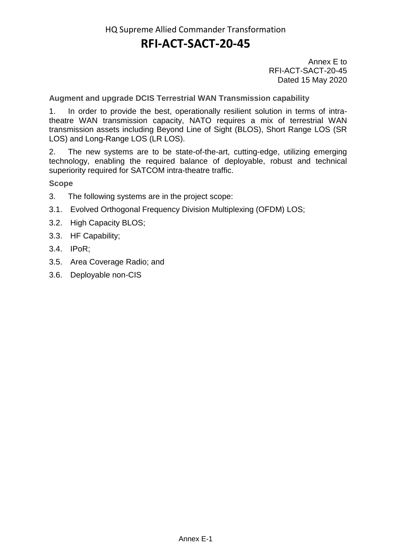Annex E to RFI-ACT-SACT-20-45 Dated 15 May 2020

**Augment and upgrade DCIS Terrestrial WAN Transmission capability**

1. In order to provide the best, operationally resilient solution in terms of intratheatre WAN transmission capacity, NATO requires a mix of terrestrial WAN transmission assets including Beyond Line of Sight (BLOS), Short Range LOS (SR LOS) and Long-Range LOS (LR LOS).

2. The new systems are to be state-of-the-art, cutting-edge, utilizing emerging technology, enabling the required balance of deployable, robust and technical superiority required for SATCOM intra-theatre traffic.

**Scope**

- 3. The following systems are in the project scope:
- 3.1. Evolved Orthogonal Frequency Division Multiplexing (OFDM) LOS;
- 3.2. High Capacity BLOS;
- 3.3. HF Capability;
- 3.4. IPoR;
- 3.5. Area Coverage Radio; and
- 3.6. Deployable non-CIS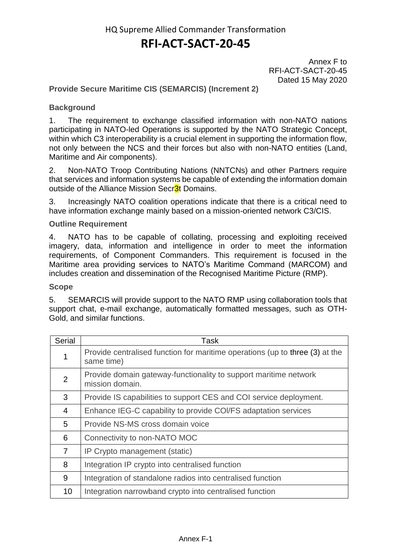Annex F to RFI-ACT-SACT-20-45 Dated 15 May 2020

#### **Provide Secure Maritime CIS (SEMARCIS) (Increment 2)**

#### **Background**

1. The requirement to exchange classified information with non-NATO nations participating in NATO-led Operations is supported by the NATO Strategic Concept, within which C3 interoperability is a crucial element in supporting the information flow, not only between the NCS and their forces but also with non-NATO entities (Land, Maritime and Air components).

2. Non-NATO Troop Contributing Nations (NNTCNs) and other Partners require that services and information systems be capable of extending the information domain outside of the Alliance Mission Secr3t Domains.

3. Increasingly NATO coalition operations indicate that there is a critical need to have information exchange mainly based on a mission-oriented network C3/CIS.

#### **Outline Requirement**

4. NATO has to be capable of collating, processing and exploiting received imagery, data, information and intelligence in order to meet the information requirements, of Component Commanders. This requirement is focused in the Maritime area providing services to NATO's Maritime Command (MARCOM) and includes creation and dissemination of the Recognised Maritime Picture (RMP).

#### **Scope**

5. SEMARCIS will provide support to the NATO RMP using collaboration tools that support chat, e-mail exchange, automatically formatted messages, such as OTH-Gold, and similar functions.

| <b>Serial</b>  | Task                                                                                       |
|----------------|--------------------------------------------------------------------------------------------|
|                | Provide centralised function for maritime operations (up to three (3) at the<br>same time) |
| $\overline{2}$ | Provide domain gateway-functionality to support maritime network<br>mission domain.        |
| 3              | Provide IS capabilities to support CES and COI service deployment.                         |
| 4              | Enhance IEG-C capability to provide COI/FS adaptation services                             |
| 5              | Provide NS-MS cross domain voice                                                           |
| 6              | Connectivity to non-NATO MOC                                                               |
| $\overline{7}$ | IP Crypto management (static)                                                              |
| 8              | Integration IP crypto into centralised function                                            |
| 9              | Integration of standalone radios into centralised function                                 |
| 10             | Integration narrowband crypto into centralised function                                    |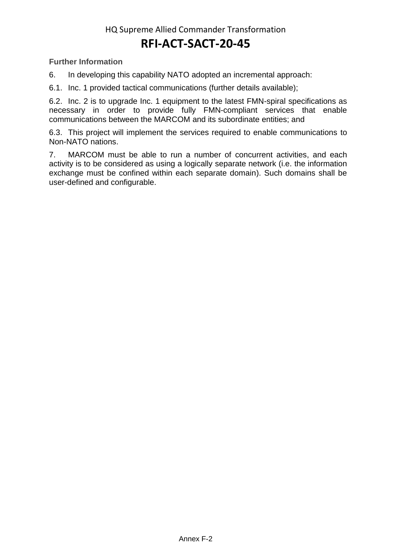**Further Information**

6. In developing this capability NATO adopted an incremental approach:

6.1. Inc. 1 provided tactical communications (further details available);

6.2. Inc. 2 is to upgrade Inc. 1 equipment to the latest FMN-spiral specifications as necessary in order to provide fully FMN-compliant services that enable communications between the MARCOM and its subordinate entities; and

6.3. This project will implement the services required to enable communications to Non-NATO nations.

7. MARCOM must be able to run a number of concurrent activities, and each activity is to be considered as using a logically separate network (i.e. the information exchange must be confined within each separate domain). Such domains shall be user-defined and configurable.